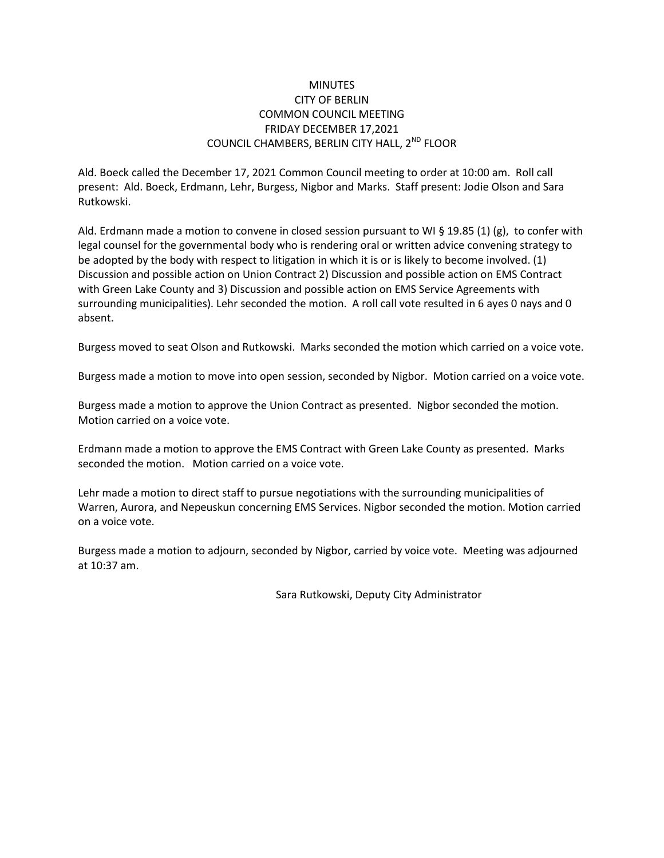## **MINUTES** CITY OF BERLIN COMMON COUNCIL MEETING FRIDAY DECEMBER 17,2021 COUNCIL CHAMBERS, BERLIN CITY HALL, 2<sup>ND</sup> FLOOR

Ald. Boeck called the December 17, 2021 Common Council meeting to order at 10:00 am. Roll call present: Ald. Boeck, Erdmann, Lehr, Burgess, Nigbor and Marks. Staff present: Jodie Olson and Sara Rutkowski.

Ald. Erdmann made a motion to convene in closed session pursuant to WI § 19.85 (1) (g), to confer with legal counsel for the governmental body who is rendering oral or written advice convening strategy to be adopted by the body with respect to litigation in which it is or is likely to become involved. (1) Discussion and possible action on Union Contract 2) Discussion and possible action on EMS Contract with Green Lake County and 3) Discussion and possible action on EMS Service Agreements with surrounding municipalities). Lehr seconded the motion. A roll call vote resulted in 6 ayes 0 nays and 0 absent.

Burgess moved to seat Olson and Rutkowski. Marks seconded the motion which carried on a voice vote.

Burgess made a motion to move into open session, seconded by Nigbor. Motion carried on a voice vote.

Burgess made a motion to approve the Union Contract as presented. Nigbor seconded the motion. Motion carried on a voice vote.

Erdmann made a motion to approve the EMS Contract with Green Lake County as presented. Marks seconded the motion. Motion carried on a voice vote.

Lehr made a motion to direct staff to pursue negotiations with the surrounding municipalities of Warren, Aurora, and Nepeuskun concerning EMS Services. Nigbor seconded the motion. Motion carried on a voice vote.

Burgess made a motion to adjourn, seconded by Nigbor, carried by voice vote. Meeting was adjourned at 10:37 am.

Sara Rutkowski, Deputy City Administrator